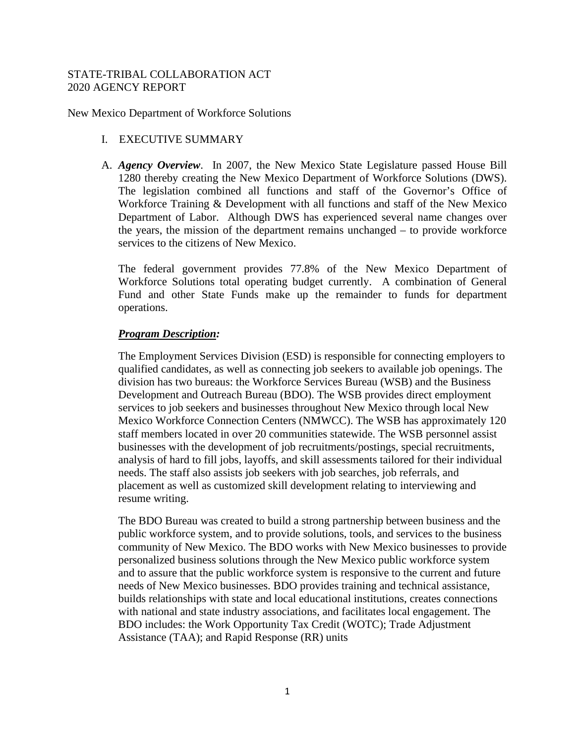### STATE-TRIBAL COLLABORATION ACT 2020 AGENCY REPORT

New Mexico Department of Workforce Solutions

## I. EXECUTIVE SUMMARY

A. *Agency Overview*. In 2007, the New Mexico State Legislature passed House Bill 1280 thereby creating the New Mexico Department of Workforce Solutions (DWS). The legislation combined all functions and staff of the Governor's Office of Workforce Training & Development with all functions and staff of the New Mexico Department of Labor. Although DWS has experienced several name changes over the years, the mission of the department remains unchanged – to provide workforce services to the citizens of New Mexico.

The federal government provides 77.8% of the New Mexico Department of Workforce Solutions total operating budget currently. A combination of General Fund and other State Funds make up the remainder to funds for department operations.

### *Program Description:*

The Employment Services Division (ESD) is responsible for connecting employers to qualified candidates, as well as connecting job seekers to available job openings. The division has two bureaus: the Workforce Services Bureau (WSB) and the Business Development and Outreach Bureau (BDO). The WSB provides direct employment services to job seekers and businesses throughout New Mexico through local New Mexico Workforce Connection Centers (NMWCC). The WSB has approximately 120 staff members located in over 20 communities statewide. The WSB personnel assist businesses with the development of job recruitments/postings, special recruitments, analysis of hard to fill jobs, layoffs, and skill assessments tailored for their individual needs. The staff also assists job seekers with job searches, job referrals, and placement as well as customized skill development relating to interviewing and resume writing.

The BDO Bureau was created to build a strong partnership between business and the public workforce system, and to provide solutions, tools, and services to the business community of New Mexico. The BDO works with New Mexico businesses to provide personalized business solutions through the New Mexico public workforce system and to assure that the public workforce system is responsive to the current and future needs of New Mexico businesses. BDO provides training and technical assistance, builds relationships with state and local educational institutions, creates connections with national and state industry associations, and facilitates local engagement. The BDO includes: the Work Opportunity Tax Credit (WOTC); Trade Adjustment Assistance (TAA); and Rapid Response (RR) units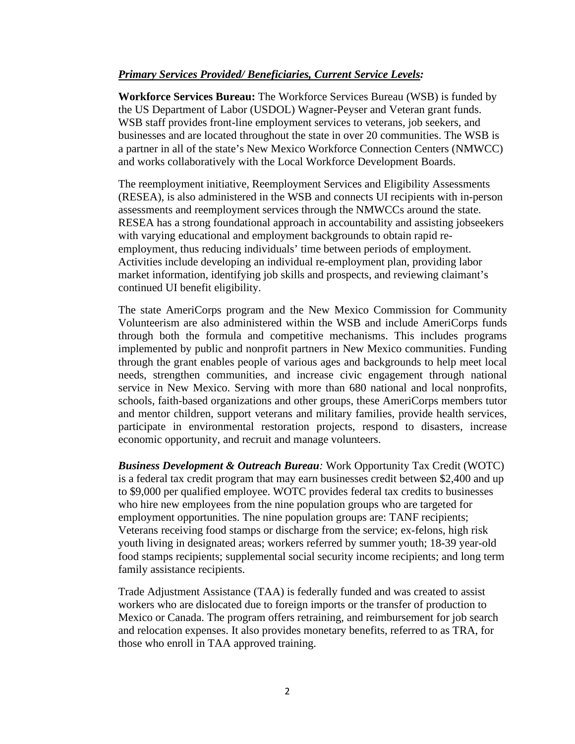#### *Primary Services Provided/ Beneficiaries, Current Service Levels:*

**Workforce Services Bureau:** The Workforce Services Bureau (WSB) is funded by the US Department of Labor (USDOL) Wagner-Peyser and Veteran grant funds. WSB staff provides front-line employment services to veterans, job seekers, and businesses and are located throughout the state in over 20 communities. The WSB is a partner in all of the state's New Mexico Workforce Connection Centers (NMWCC) and works collaboratively with the Local Workforce Development Boards.

The reemployment initiative, Reemployment Services and Eligibility Assessments (RESEA), is also administered in the WSB and connects UI recipients with in-person assessments and reemployment services through the NMWCCs around the state. RESEA has a strong foundational approach in accountability and assisting jobseekers with varying educational and employment backgrounds to obtain rapid reemployment, thus reducing individuals' time between periods of employment. Activities include developing an individual re-employment plan, providing labor market information, identifying job skills and prospects, and reviewing claimant's continued UI benefit eligibility.

The state AmeriCorps program and the New Mexico Commission for Community Volunteerism are also administered within the WSB and include AmeriCorps funds through both the formula and competitive mechanisms. This includes programs implemented by public and nonprofit partners in New Mexico communities. Funding through the grant enables people of various ages and backgrounds to help meet local needs, strengthen communities, and increase civic engagement through national service in New Mexico. Serving with more than 680 national and local nonprofits, schools, faith-based organizations and other groups, these AmeriCorps members tutor and mentor children, support veterans and military families, provide health services, participate in environmental restoration projects, respond to disasters, increase economic opportunity, and recruit and manage volunteers.

*Business Development & Outreach Bureau:* Work Opportunity Tax Credit (WOTC) is a federal tax credit program that may earn businesses credit between \$2,400 and up to \$9,000 per qualified employee. WOTC provides federal tax credits to businesses who hire new employees from the nine population groups who are targeted for employment opportunities. The nine population groups are: TANF recipients; Veterans receiving food stamps or discharge from the service; ex-felons, high risk youth living in designated areas; workers referred by summer youth; 18-39 year-old food stamps recipients; supplemental social security income recipients; and long term family assistance recipients.

Trade Adjustment Assistance (TAA) is federally funded and was created to assist workers who are dislocated due to foreign imports or the transfer of production to Mexico or Canada. The program offers retraining, and reimbursement for job search and relocation expenses. It also provides monetary benefits, referred to as TRA, for those who enroll in TAA approved training.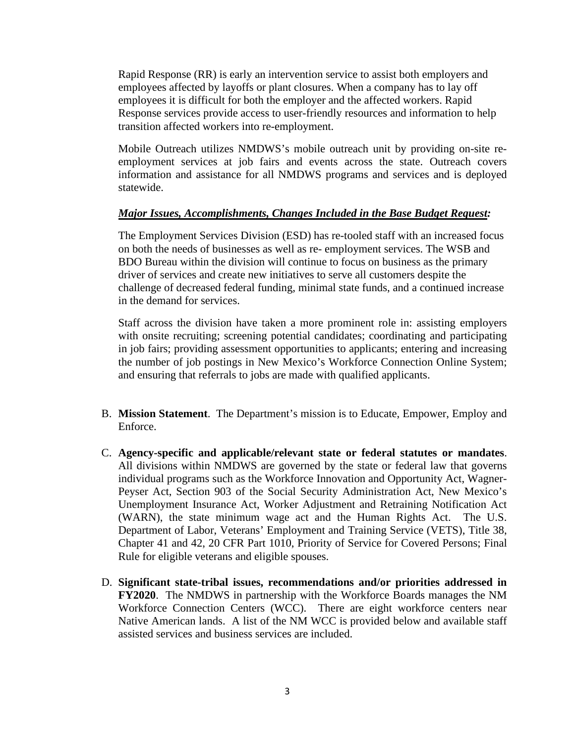Rapid Response (RR) is early an intervention service to assist both employers and employees affected by layoffs or plant closures. When a company has to lay off employees it is difficult for both the employer and the affected workers. Rapid Response services provide access to user-friendly resources and information to help transition affected workers into re-employment.

Mobile Outreach utilizes NMDWS's mobile outreach unit by providing on-site reemployment services at job fairs and events across the state. Outreach covers information and assistance for all NMDWS programs and services and is deployed statewide.

### *Major Issues, Accomplishments, Changes Included in the Base Budget Request:*

The Employment Services Division (ESD) has re-tooled staff with an increased focus on both the needs of businesses as well as re- employment services. The WSB and BDO Bureau within the division will continue to focus on business as the primary driver of services and create new initiatives to serve all customers despite the challenge of decreased federal funding, minimal state funds, and a continued increase in the demand for services.

Staff across the division have taken a more prominent role in: assisting employers with onsite recruiting; screening potential candidates; coordinating and participating in job fairs; providing assessment opportunities to applicants; entering and increasing the number of job postings in New Mexico's Workforce Connection Online System; and ensuring that referrals to jobs are made with qualified applicants.

- B. **Mission Statement**. The Department's mission is to Educate, Empower, Employ and Enforce.
- C. **Agency-specific and applicable/relevant state or federal statutes or mandates**. All divisions within NMDWS are governed by the state or federal law that governs individual programs such as the Workforce Innovation and Opportunity Act, Wagner-Peyser Act, Section 903 of the Social Security Administration Act, New Mexico's Unemployment Insurance Act, Worker Adjustment and Retraining Notification Act (WARN), the state minimum wage act and the Human Rights Act. The U.S. Department of Labor, Veterans' Employment and Training Service (VETS), Title 38, Chapter 41 and 42, 20 CFR Part 1010, Priority of Service for Covered Persons; Final Rule for eligible veterans and eligible spouses.
- D. **Significant state-tribal issues, recommendations and/or priorities addressed in FY2020**. The NMDWS in partnership with the Workforce Boards manages the NM Workforce Connection Centers (WCC). There are eight workforce centers near Native American lands. A list of the NM WCC is provided below and available staff assisted services and business services are included.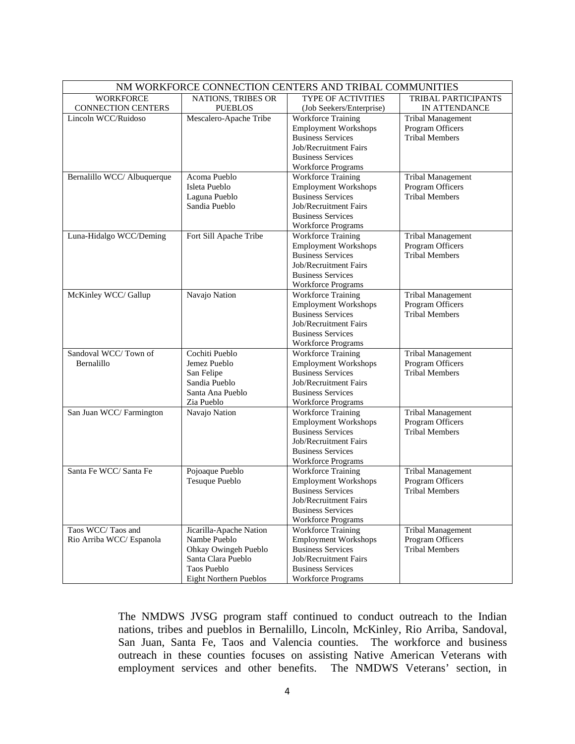| NM WORKFORCE CONNECTION CENTERS AND TRIBAL COMMUNITIES |                               |                             |                          |
|--------------------------------------------------------|-------------------------------|-----------------------------|--------------------------|
| <b>WORKFORCE</b>                                       | NATIONS, TRIBES OR            | <b>TYPE OF ACTIVITIES</b>   | TRIBAL PARTICIPANTS      |
| CONNECTION CENTERS                                     | <b>PUEBLOS</b>                | (Job Seekers/Enterprise)    | IN ATTENDANCE            |
| Lincoln WCC/Ruidoso                                    | Mescalero-Apache Tribe        | <b>Workforce Training</b>   | <b>Tribal Management</b> |
|                                                        |                               | <b>Employment Workshops</b> | Program Officers         |
|                                                        |                               | <b>Business Services</b>    | <b>Tribal Members</b>    |
|                                                        |                               | Job/Recruitment Fairs       |                          |
|                                                        |                               | <b>Business Services</b>    |                          |
|                                                        |                               | <b>Workforce Programs</b>   |                          |
| Bernalillo WCC/ Albuquerque                            | Acoma Pueblo                  | <b>Workforce Training</b>   | <b>Tribal Management</b> |
|                                                        | Isleta Pueblo                 | <b>Employment Workshops</b> | Program Officers         |
|                                                        | Laguna Pueblo                 | <b>Business Services</b>    | <b>Tribal Members</b>    |
|                                                        | Sandia Pueblo                 | Job/Recruitment Fairs       |                          |
|                                                        |                               | <b>Business Services</b>    |                          |
|                                                        |                               | <b>Workforce Programs</b>   |                          |
| Luna-Hidalgo WCC/Deming                                | Fort Sill Apache Tribe        | <b>Workforce Training</b>   | Tribal Management        |
|                                                        |                               | <b>Employment Workshops</b> | Program Officers         |
|                                                        |                               | <b>Business Services</b>    | <b>Tribal Members</b>    |
|                                                        |                               | Job/Recruitment Fairs       |                          |
|                                                        |                               | <b>Business Services</b>    |                          |
|                                                        |                               | <b>Workforce Programs</b>   |                          |
| McKinley WCC/ Gallup                                   | Navajo Nation                 | <b>Workforce Training</b>   | <b>Tribal Management</b> |
|                                                        |                               | <b>Employment Workshops</b> | Program Officers         |
|                                                        |                               | <b>Business Services</b>    | <b>Tribal Members</b>    |
|                                                        |                               | Job/Recruitment Fairs       |                          |
|                                                        |                               | <b>Business Services</b>    |                          |
|                                                        |                               | <b>Workforce Programs</b>   |                          |
| Sandoval WCC/Town of                                   | Cochiti Pueblo                | <b>Workforce Training</b>   | <b>Tribal Management</b> |
| Bernalillo                                             | Jemez Pueblo                  | <b>Employment Workshops</b> | Program Officers         |
|                                                        | San Felipe                    | <b>Business Services</b>    | <b>Tribal Members</b>    |
|                                                        | Sandia Pueblo                 | Job/Recruitment Fairs       |                          |
|                                                        | Santa Ana Pueblo              | <b>Business Services</b>    |                          |
|                                                        | Zia Pueblo                    | <b>Workforce Programs</b>   |                          |
| San Juan WCC/ Farmington                               | Navajo Nation                 | <b>Workforce Training</b>   | Tribal Management        |
|                                                        |                               | <b>Employment Workshops</b> | Program Officers         |
|                                                        |                               | <b>Business Services</b>    | <b>Tribal Members</b>    |
|                                                        |                               | Job/Recruitment Fairs       |                          |
|                                                        |                               | <b>Business Services</b>    |                          |
|                                                        |                               | <b>Workforce Programs</b>   |                          |
| Santa Fe WCC/ Santa Fe                                 | Pojoaque Pueblo               | <b>Workforce Training</b>   | Tribal Management        |
|                                                        | Tesuque Pueblo                | <b>Employment Workshops</b> | Program Officers         |
|                                                        |                               | <b>Business Services</b>    | <b>Tribal Members</b>    |
|                                                        |                               | Job/Recruitment Fairs       |                          |
|                                                        |                               | <b>Business Services</b>    |                          |
|                                                        |                               | <b>Workforce Programs</b>   |                          |
| Taos WCC/Taos and                                      | Jicarilla-Apache Nation       | <b>Workforce Training</b>   | Tribal Management        |
| Rio Arriba WCC/ Espanola                               | Nambe Pueblo                  | <b>Employment Workshops</b> | Program Officers         |
|                                                        | Ohkay Owingeh Pueblo          | <b>Business Services</b>    | <b>Tribal Members</b>    |
|                                                        | Santa Clara Pueblo            | Job/Recruitment Fairs       |                          |
|                                                        | Taos Pueblo                   | <b>Business Services</b>    |                          |
|                                                        | <b>Eight Northern Pueblos</b> | <b>Workforce Programs</b>   |                          |

The NMDWS JVSG program staff continued to conduct outreach to the Indian nations, tribes and pueblos in Bernalillo, Lincoln, McKinley, Rio Arriba, Sandoval, San Juan, Santa Fe, Taos and Valencia counties. The workforce and business outreach in these counties focuses on assisting Native American Veterans with employment services and other benefits. The NMDWS Veterans' section, in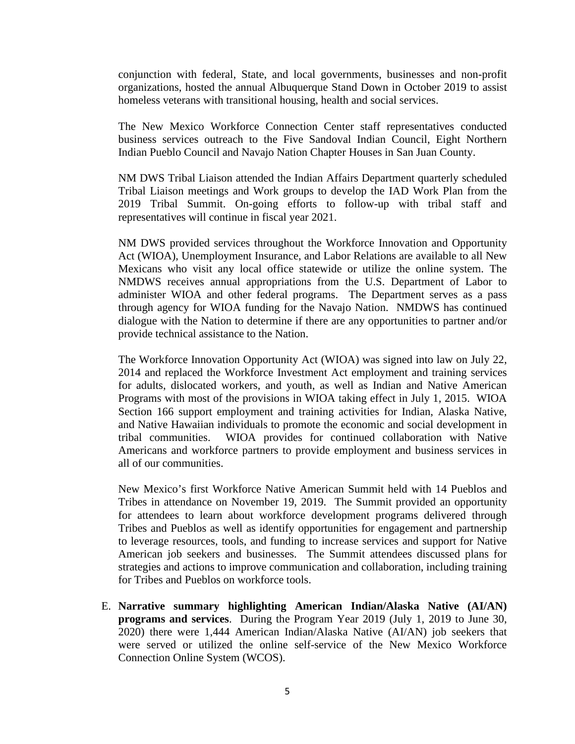conjunction with federal, State, and local governments, businesses and non-profit organizations, hosted the annual Albuquerque Stand Down in October 2019 to assist homeless veterans with transitional housing, health and social services.

The New Mexico Workforce Connection Center staff representatives conducted business services outreach to the Five Sandoval Indian Council, Eight Northern Indian Pueblo Council and Navajo Nation Chapter Houses in San Juan County.

NM DWS Tribal Liaison attended the Indian Affairs Department quarterly scheduled Tribal Liaison meetings and Work groups to develop the IAD Work Plan from the 2019 Tribal Summit. On-going efforts to follow-up with tribal staff and representatives will continue in fiscal year 2021.

NM DWS provided services throughout the Workforce Innovation and Opportunity Act (WIOA), Unemployment Insurance, and Labor Relations are available to all New Mexicans who visit any local office statewide or utilize the online system. The NMDWS receives annual appropriations from the U.S. Department of Labor to administer WIOA and other federal programs. The Department serves as a pass through agency for WIOA funding for the Navajo Nation. NMDWS has continued dialogue with the Nation to determine if there are any opportunities to partner and/or provide technical assistance to the Nation.

The Workforce Innovation Opportunity Act (WIOA) was signed into law on July 22, 2014 and replaced the Workforce Investment Act employment and training services for adults, dislocated workers, and youth, as well as Indian and Native American Programs with most of the provisions in WIOA taking effect in July 1, 2015. WIOA Section 166 support employment and training activities for Indian, Alaska Native, and Native Hawaiian individuals to promote the economic and social development in tribal communities. WIOA provides for continued collaboration with Native Americans and workforce partners to provide employment and business services in all of our communities.

New Mexico's first Workforce Native American Summit held with 14 Pueblos and Tribes in attendance on November 19, 2019. The Summit provided an opportunity for attendees to learn about workforce development programs delivered through Tribes and Pueblos as well as identify opportunities for engagement and partnership to leverage resources, tools, and funding to increase services and support for Native American job seekers and businesses. The Summit attendees discussed plans for strategies and actions to improve communication and collaboration, including training for Tribes and Pueblos on workforce tools.

E. **Narrative summary highlighting American Indian/Alaska Native (AI/AN) programs and services**. During the Program Year 2019 (July 1, 2019 to June 30, 2020) there were 1,444 American Indian/Alaska Native (AI/AN) job seekers that were served or utilized the online self-service of the New Mexico Workforce Connection Online System (WCOS).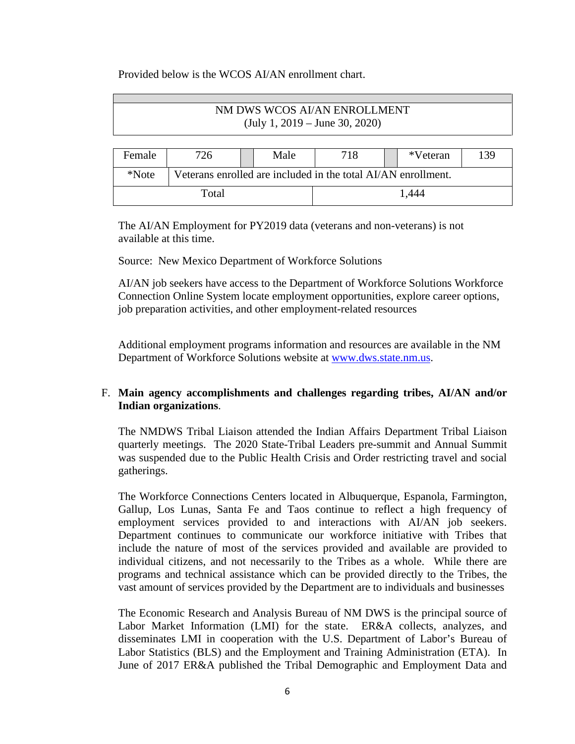#### Provided below is the WCOS AI/AN enrollment chart.

# NM DWS WCOS AI/AN ENROLLMENT (July 1, 2019 – June 30, 2020)

| Female       | 726                                                           |  | Male | 718 |       | *Veteran | 139 |
|--------------|---------------------------------------------------------------|--|------|-----|-------|----------|-----|
| <i>*Note</i> | Veterans enrolled are included in the total AI/AN enrollment. |  |      |     |       |          |     |
| Total        |                                                               |  |      |     | 1.444 |          |     |

The AI/AN Employment for PY2019 data (veterans and non-veterans) is not available at this time.

Source: New Mexico Department of Workforce Solutions

AI/AN job seekers have access to the Department of Workforce Solutions Workforce Connection Online System locate employment opportunities, explore career options, job preparation activities, and other employment-related resources

Additional employment programs information and resources are available in the NM Department of Workforce Solutions website at [www.dws.state.nm.us.](http://www.dws.state.nm.us/)

## F. **Main agency accomplishments and challenges regarding tribes, AI/AN and/or Indian organizations**.

The NMDWS Tribal Liaison attended the Indian Affairs Department Tribal Liaison quarterly meetings. The 2020 State-Tribal Leaders pre-summit and Annual Summit was suspended due to the Public Health Crisis and Order restricting travel and social gatherings.

The Workforce Connections Centers located in Albuquerque, Espanola, Farmington, Gallup, Los Lunas, Santa Fe and Taos continue to reflect a high frequency of employment services provided to and interactions with AI/AN job seekers. Department continues to communicate our workforce initiative with Tribes that include the nature of most of the services provided and available are provided to individual citizens, and not necessarily to the Tribes as a whole. While there are programs and technical assistance which can be provided directly to the Tribes, the vast amount of services provided by the Department are to individuals and businesses

The Economic Research and Analysis Bureau of NM DWS is the principal source of Labor Market Information (LMI) for the state. ER&A collects, analyzes, and disseminates LMI in cooperation with the U.S. Department of Labor's Bureau of Labor Statistics (BLS) and the Employment and Training Administration (ETA). In June of 2017 ER&A published the Tribal Demographic and Employment Data and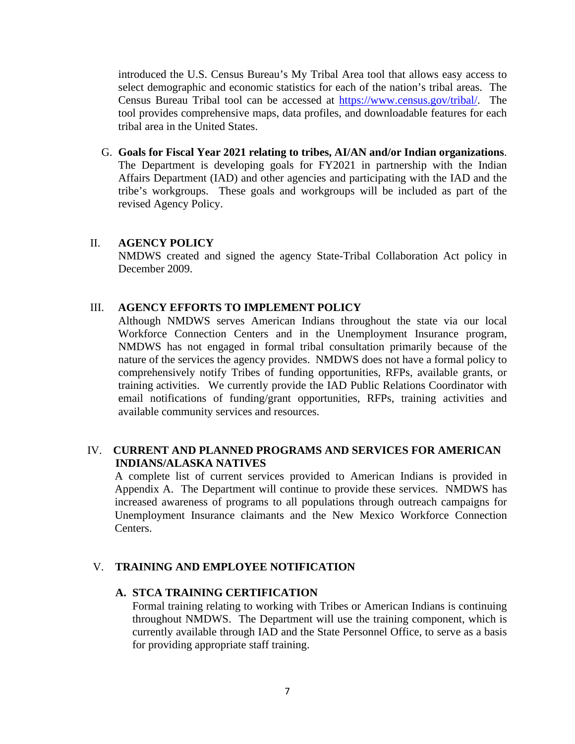introduced the U.S. Census Bureau's My Tribal Area tool that allows easy access to select demographic and economic statistics for each of the nation's tribal areas. The Census Bureau Tribal tool can be accessed at [https://www.census.gov/tribal/.](https://www.census.gov/tribal/) The tool provides comprehensive maps, data profiles, and downloadable features for each tribal area in the United States.

G. **Goals for Fiscal Year 2021 relating to tribes, AI/AN and/or Indian organizations**. The Department is developing goals for FY2021 in partnership with the Indian Affairs Department (IAD) and other agencies and participating with the IAD and the tribe's workgroups. These goals and workgroups will be included as part of the revised Agency Policy.

#### II. **AGENCY POLICY**

NMDWS created and signed the agency State-Tribal Collaboration Act policy in December 2009.

### III. **AGENCY EFFORTS TO IMPLEMENT POLICY**

Although NMDWS serves American Indians throughout the state via our local Workforce Connection Centers and in the Unemployment Insurance program, NMDWS has not engaged in formal tribal consultation primarily because of the nature of the services the agency provides. NMDWS does not have a formal policy to comprehensively notify Tribes of funding opportunities, RFPs, available grants, or training activities. We currently provide the IAD Public Relations Coordinator with email notifications of funding/grant opportunities, RFPs, training activities and available community services and resources.

## IV. **CURRENT AND PLANNED PROGRAMS AND SERVICES FOR AMERICAN INDIANS/ALASKA NATIVES**

A complete list of current services provided to American Indians is provided in Appendix A. The Department will continue to provide these services. NMDWS has increased awareness of programs to all populations through outreach campaigns for Unemployment Insurance claimants and the New Mexico Workforce Connection Centers.

### V. **TRAINING AND EMPLOYEE NOTIFICATION**

### **A. STCA TRAINING CERTIFICATION**

Formal training relating to working with Tribes or American Indians is continuing throughout NMDWS. The Department will use the training component, which is currently available through IAD and the State Personnel Office, to serve as a basis for providing appropriate staff training.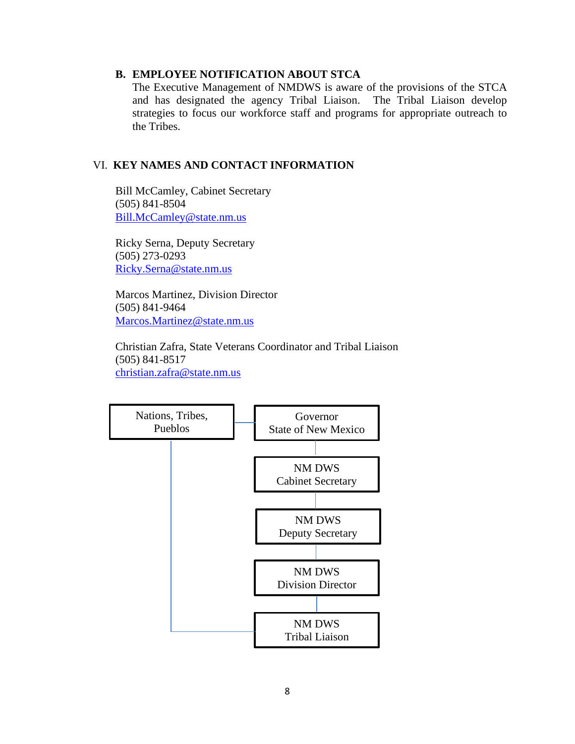### **B. EMPLOYEE NOTIFICATION ABOUT STCA**

The Executive Management of NMDWS is aware of the provisions of the STCA and has designated the agency Tribal Liaison. The Tribal Liaison develop strategies to focus our workforce staff and programs for appropriate outreach to the Tribes.

### VI. **KEY NAMES AND CONTACT INFORMATION**

**Bill McCamley, Cabinet Secretary**  (505) 841-8504 [Bill.McCamley@state.nm.us](mailto:Bill.McCamley@state.nm.us)

 Ricky Serna, Deputy Secretary (505) 273-0293 [Ricky.Serna@state.nm.us](mailto:Ricky.Serna@state.nm.us)

 Marcos Martinez, Division Director (505) 841-9464 [Marcos.Martinez@state.nm.us](mailto:Marcos.Martinez@state.nm.us)

 Christian Zafra, State Veterans Coordinator and Tribal Liaison (505) 841-8517 [christian.zafra@state.nm.us](mailto:christian.zafra@state.nm.us)

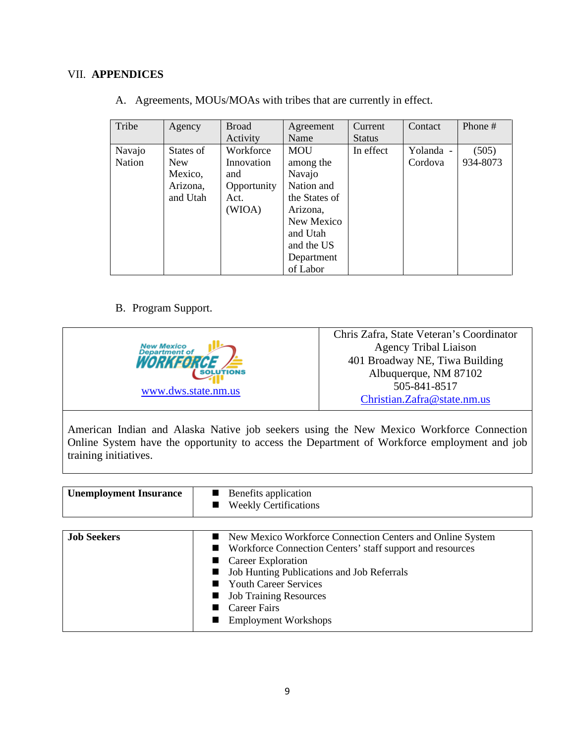# VII. **APPENDICES**

| Tribe         | Agency     | <b>Broad</b> | Agreement     | Current       | Contact   | Phone #  |
|---------------|------------|--------------|---------------|---------------|-----------|----------|
|               |            | Activity     | Name          | <b>Status</b> |           |          |
| Navajo        | States of  | Workforce    | <b>MOU</b>    | In effect     | Yolanda - | (505)    |
| <b>Nation</b> | <b>New</b> | Innovation   | among the     |               | Cordova   | 934-8073 |
|               | Mexico,    | and          | Navajo        |               |           |          |
|               | Arizona,   | Opportunity  | Nation and    |               |           |          |
|               | and Utah   | Act.         | the States of |               |           |          |
|               |            | (WIOA)       | Arizona,      |               |           |          |
|               |            |              | New Mexico    |               |           |          |
|               |            |              | and Utah      |               |           |          |
|               |            |              | and the US    |               |           |          |
|               |            |              | Department    |               |           |          |
|               |            |              | of Labor      |               |           |          |

A. Agreements, MOUs/MOAs with tribes that are currently in effect.

# B. Program Support.

|                                     | Chris Zafra, State Veteran's Coordinator |
|-------------------------------------|------------------------------------------|
| <b>New Mexico<br/>Department of</b> | <b>Agency Tribal Liaison</b>             |
| <i><b>WORKFORGE</b></i>             | 401 Broadway NE, Tiwa Building           |
| SOLUTIONS                           | Albuquerque, NM 87102                    |
| www.dws.state.nm.us                 | 505-841-8517                             |
|                                     | Christian.Zafra@state.nm.us              |

American Indian and Alaska Native job seekers using the New Mexico Workforce Connection Online System have the opportunity to access the Department of Workforce employment and job training initiatives.

| <b>Unemployment Insurance</b> | Benefits application<br><b>Weekly Certifications</b>                                                                                                                                                                                                                                                              |
|-------------------------------|-------------------------------------------------------------------------------------------------------------------------------------------------------------------------------------------------------------------------------------------------------------------------------------------------------------------|
| <b>Job Seekers</b>            | New Mexico Workforce Connection Centers and Online System<br>Workforce Connection Centers' staff support and resources<br>Career Exploration<br>Job Hunting Publications and Job Referrals<br><b>Youth Career Services</b><br><b>Job Training Resources</b><br><b>Career Fairs</b><br><b>Employment Workshops</b> |